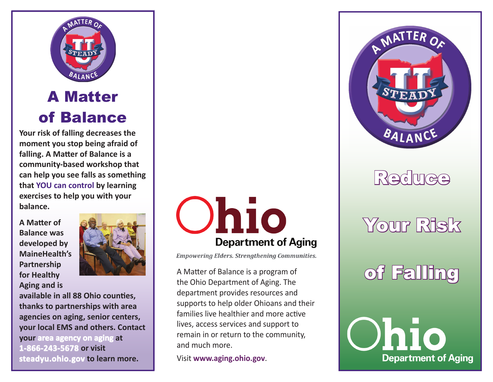

### A Matter of Balance

**Your risk of falling decreases the moment you stop being afraid of falling. A Matter of Balance is a community-based workshop that can help you see falls as something that YOU can control by learning exercises to help you with your balance.** 

**A Matter of Balance was developed by MaineHealth's Partnership for Healthy Aging and is** 



**available in all 88 Ohio counties, thanks to partnerships with area agencies on aging, senior centers, your local EMS and others. Contact your area agency on aging at 1-866-243-5678 or visit steadyu.ohio.gov to learn more.** 



**Empowering Elders. Strengthening Communities.** 

A Matter of Balance is a program of the Ohio Department of Aging. The department provides resources and supports to help older Ohioans and their families live healthier and more active lives, access services and support to remain in or return to the community, and much more.

Visit **www.aging.ohio.gov**.



## **Reduce**

## Your Risk

# of Falling